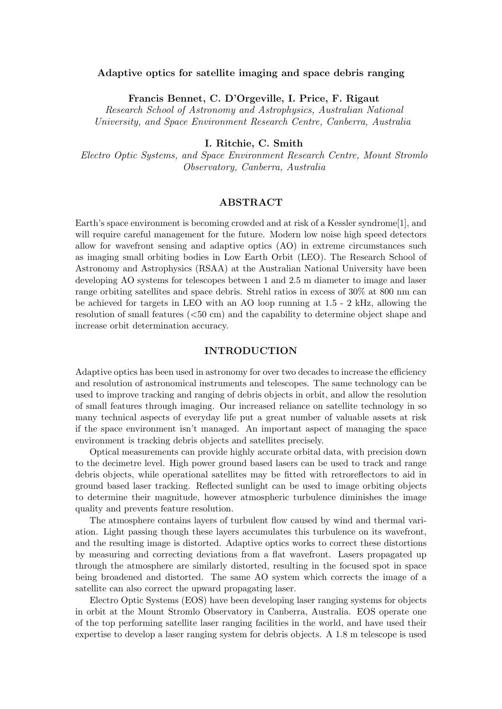## Adaptive optics for satellite imaging and space debris ranging

Francis Bennet, C. D'Orgeville, I. Price, F. Rigaut

Research School of Astronomy and Astrophysics, Australian National University, and Space Environment Research Centre, Canberra, Australia

I. Ritchie, C. Smith

Electro Optic Systems, and Space Environment Research Centre, Mount Stromlo Observatory, Canberra, Australia

## ABSTRACT

Earth's space environment is becoming crowded and at risk of a Kessler syndrome[1], and will require careful management for the future. Modern low noise high speed detectors allow for wavefront sensing and adaptive optics (AO) in extreme circumstances such as imaging small orbiting bodies in Low Earth Orbit (LEO). The Research School of Astronomy and Astrophysics (RSAA) at the Australian National University have been developing AO systems for telescopes between 1 and 2.5 m diameter to image and laser range orbiting satellites and space debris. Strehl ratios in excess of 30% at 800 nm can be achieved for targets in LEO with an AO loop running at 1.5 - 2 kHz, allowing the resolution of small features (<50 cm) and the capability to determine object shape and increase orbit determination accuracy.

# INTRODUCTION

Adaptive optics has been used in astronomy for over two decades to increase the efficiency and resolution of astronomical instruments and telescopes. The same technology can be used to improve tracking and ranging of debris objects in orbit, and allow the resolution of small features through imaging. Our increased reliance on satellite technology in so many technical aspects of everyday life put a great number of valuable assets at risk if the space environment isn't managed. An important aspect of managing the space environment is tracking debris objects and satellites precisely.

Optical measurements can provide highly accurate orbital data, with precision down to the decimetre level. High power ground based lasers can be used to track and range debris objects, while operational satellites may be fitted with retroreflectors to aid in ground based laser tracking. Reflected sunlight can be used to image orbiting objects to determine their magnitude, however atmospheric turbulence diminishes the image quality and prevents feature resolution.

The atmosphere contains layers of turbulent flow caused by wind and thermal variation. Light passing though these layers accumulates this turbulence on its wavefront, and the resulting image is distorted. Adaptive optics works to correct these distortions by measuring and correcting deviations from a flat wavefront. Lasers propagated up through the atmosphere are similarly distorted, resulting in the focused spot in space being broadened and distorted. The same AO system which corrects the image of a satellite can also correct the upward propagating laser.

Electro Optic Systems (EOS) have been developing laser ranging systems for objects in orbit at the Mount Stromlo Observatory in Canberra, Australia. EOS operate one of the top performing satellite laser ranging facilities in the world, and have used their expertise to develop a laser ranging system for debris objects. A 1.8 m telescope is used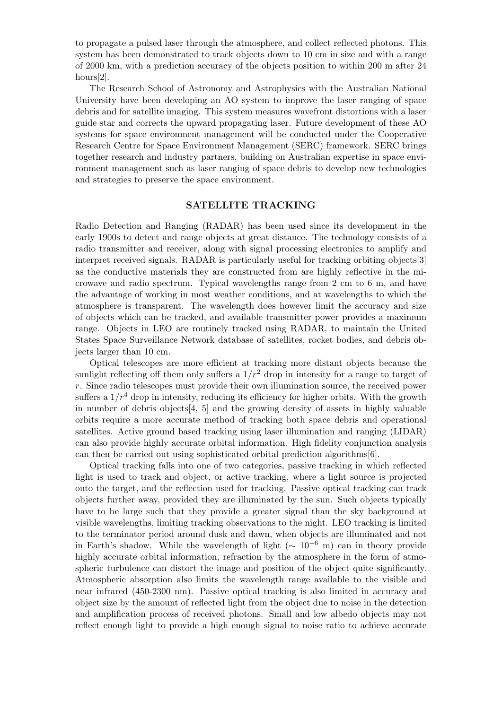to propagate a pulsed laser through the atmosphere, and collect reflected photons. This system has been demonstrated to track objects down to 10 cm in size and with a range of 2000 km, with a prediction accuracy of the objects position to within 200 m after 24 hours[2].

The Research School of Astronomy and Astrophysics with the Australian National University have been developing an AO system to improve the laser ranging of space debris and for satellite imaging. This system measures wavefront distortions with a laser guide star and corrects the upward propagating laser. Future development of these AO systems for space environment management will be conducted under the Cooperative Research Centre for Space Environment Management (SERC) framework. SERC brings together research and industry partners, building on Australian expertise in space environment management such as laser ranging of space debris to develop new technologies and strategies to preserve the space environment.

#### SATELLITE TRACKING

Radio Detection and Ranging (RADAR) has been used since its development in the early 1900s to detect and range objects at great distance. The technology consists of a radio transmitter and receiver, along with signal processing electronics to amplify and interpret received signals. RADAR is particularly useful for tracking orbiting objects[3] as the conductive materials they are constructed from are highly reflective in the microwave and radio spectrum. Typical wavelengths range from 2 cm to 6 m, and have the advantage of working in most weather conditions, and at wavelengths to which the atmosphere is transparent. The wavelength does however limit the accuracy and size of objects which can be tracked, and available transmitter power provides a maximum range. Objects in LEO are routinely tracked using RADAR, to maintain the United States Space Surveillance Network database of satellites, rocket bodies, and debris objects larger than 10 cm.

Optical telescopes are more efficient at tracking more distant objects because the sunlight reflecting off them only suffers a  $1/r^2$  drop in intensity for a range to target of  $r$ . Since radio telescopes must provide their own illumination source, the received power suffers a  $1/r^4$  drop in intensity, reducing its efficiency for higher orbits. With the growth in number of debris objects[4, 5] and the growing density of assets in highly valuable orbits require a more accurate method of tracking both space debris and operational satellites. Active ground based tracking using laser illumination and ranging (LIDAR) can also provide highly accurate orbital information. High fidelity conjunction analysis can then be carried out using sophisticated orbital prediction algorithms[6].

Optical tracking falls into one of two categories, passive tracking in which reflected light is used to track and object, or active tracking, where a light source is projected onto the target, and the reflection used for tracking. Passive optical tracking can track objects further away, provided they are illuminated by the sun. Such objects typically have to be large such that they provide a greater signal than the sky background at visible wavelengths, limiting tracking observations to the night. LEO tracking is limited to the terminator period around dusk and dawn, when objects are illuminated and not in Earth's shadow. While the wavelength of light ( $\sim 10^{-6}$  m) can in theory provide highly accurate orbital information, refraction by the atmosphere in the form of atmospheric turbulence can distort the image and position of the object quite significantly. Atmospheric absorption also limits the wavelength range available to the visible and near infrared (450-2300 nm). Passive optical tracking is also limited in accuracy and object size by the amount of reflected light from the object due to noise in the detection and amplification process of received photons. Small and low albedo objects may not reflect enough light to provide a high enough signal to noise ratio to achieve accurate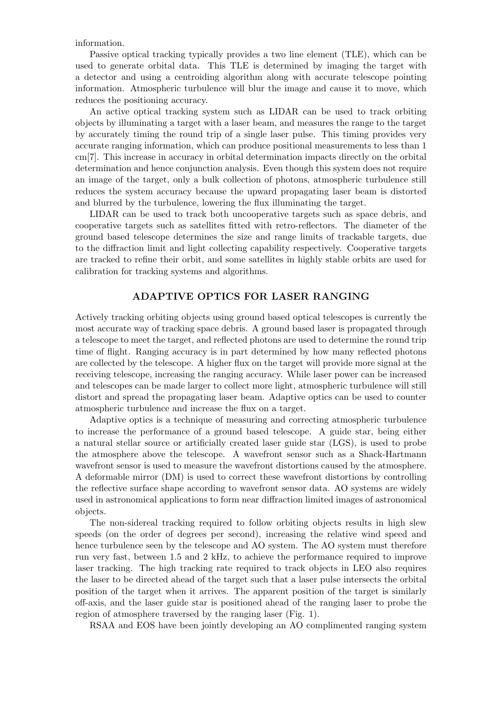information.

Passive optical tracking typically provides a two line element (TLE), which can be used to generate orbital data. This TLE is determined by imaging the target with a detector and using a centroiding algorithm along with accurate telescope pointing information. Atmospheric turbulence will blur the image and cause it to move, which reduces the positioning accuracy.

An active optical tracking system such as LIDAR can be used to track orbiting objects by illuminating a target with a laser beam, and measures the range to the target by accurately timing the round trip of a single laser pulse. This timing provides very accurate ranging information, which can produce positional measurements to less than 1 cm[7]. This increase in accuracy in orbital determination impacts directly on the orbital determination and hence conjunction analysis. Even though this system does not require an image of the target, only a bulk collection of photons, atmospheric turbulence still reduces the system accuracy because the upward propagating laser beam is distorted and blurred by the turbulence, lowering the flux illuminating the target.

LIDAR can be used to track both uncooperative targets such as space debris, and cooperative targets such as satellites fitted with retro-reflectors. The diameter of the ground based telescope determines the size and range limits of trackable targets, due to the diffraction limit and light collecting capability respectively. Cooperative targets are tracked to refine their orbit, and some satellites in highly stable orbits are used for calibration for tracking systems and algorithms.

# ADAPTIVE OPTICS FOR LASER RANGING

Actively tracking orbiting objects using ground based optical telescopes is currently the most accurate way of tracking space debris. A ground based laser is propagated through a telescope to meet the target, and reflected photons are used to determine the round trip time of flight. Ranging accuracy is in part determined by how many reflected photons are collected by the telescope. A higher flux on the target will provide more signal at the receiving telescope, increasing the ranging accuracy. While laser power can be increased and telescopes can be made larger to collect more light, atmospheric turbulence will still distort and spread the propagating laser beam. Adaptive optics can be used to counter atmospheric turbulence and increase the flux on a target.

Adaptive optics is a technique of measuring and correcting atmospheric turbulence to increase the performance of a ground based telescope. A guide star, being either a natural stellar source or artificially created laser guide star (LGS), is used to probe the atmosphere above the telescope. A wavefront sensor such as a Shack-Hartmann wavefront sensor is used to measure the wavefront distortions caused by the atmosphere. A deformable mirror (DM) is used to correct these wavefront distortions by controlling the reflective surface shape according to wavefront sensor data. AO systems are widely used in astronomical applications to form near diffraction limited images of astronomical objects.

The non-sidereal tracking required to follow orbiting objects results in high slew speeds (on the order of degrees per second), increasing the relative wind speed and hence turbulence seen by the telescope and AO system. The AO system must therefore run very fast, between 1.5 and 2 kHz, to achieve the performance required to improve laser tracking. The high tracking rate required to track objects in LEO also requires the laser to be directed ahead of the target such that a laser pulse intersects the orbital position of the target when it arrives. The apparent position of the target is similarly off-axis, and the laser guide star is positioned ahead of the ranging laser to probe the region of atmosphere traversed by the ranging laser (Fig. 1).

RSAA and EOS have been jointly developing an AO complimented ranging system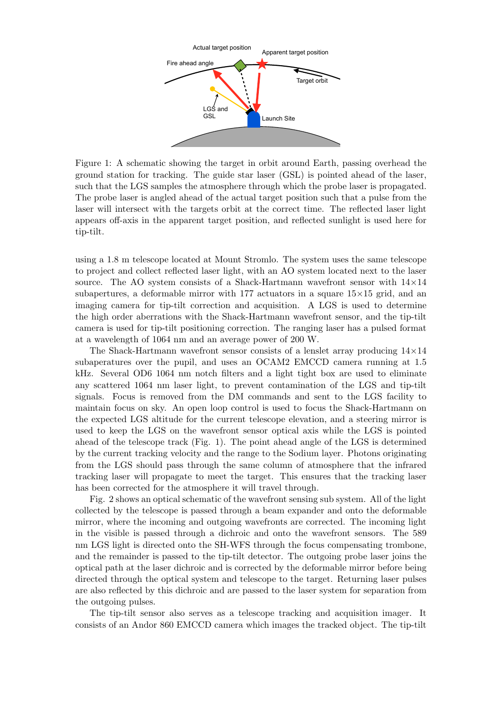

Figure 1: A schematic showing the target in orbit around Earth, passing overhead the ground station for tracking. The guide star laser (GSL) is pointed ahead of the laser, such that the LGS samples the atmosphere through which the probe laser is propagated. The probe laser is angled ahead of the actual target position such that a pulse from the laser will intersect with the targets orbit at the correct time. The reflected laser light appears off-axis in the apparent target position, and reflected sunlight is used here for tip-tilt.

using a 1.8 m telescope located at Mount Stromlo. The system uses the same telescope to project and collect reflected laser light, with an AO system located next to the laser source. The AO system consists of a Shack-Hartmann wavefront sensor with  $14\times14$ subapertures, a deformable mirror with  $177$  actuators in a square  $15\times15$  grid, and an imaging camera for tip-tilt correction and acquisition. A LGS is used to determine the high order aberrations with the Shack-Hartmann wavefront sensor, and the tip-tilt camera is used for tip-tilt positioning correction. The ranging laser has a pulsed format at a wavelength of 1064 nm and an average power of 200 W.

The Shack-Hartmann wavefront sensor consists of a lenslet array producing  $14\times14$ subaperatures over the pupil, and uses an OCAM2 EMCCD camera running at 1.5 kHz. Several OD6 1064 nm notch filters and a light tight box are used to eliminate any scattered 1064 nm laser light, to prevent contamination of the LGS and tip-tilt signals. Focus is removed from the DM commands and sent to the LGS facility to maintain focus on sky. An open loop control is used to focus the Shack-Hartmann on the expected LGS altitude for the current telescope elevation, and a steering mirror is used to keep the LGS on the wavefront sensor optical axis while the LGS is pointed ahead of the telescope track (Fig. 1). The point ahead angle of the LGS is determined by the current tracking velocity and the range to the Sodium layer. Photons originating from the LGS should pass through the same column of atmosphere that the infrared tracking laser will propagate to meet the target. This ensures that the tracking laser has been corrected for the atmosphere it will travel through.

Fig. 2 shows an optical schematic of the wavefront sensing sub system. All of the light collected by the telescope is passed through a beam expander and onto the deformable mirror, where the incoming and outgoing wavefronts are corrected. The incoming light in the visible is passed through a dichroic and onto the wavefront sensors. The 589 nm LGS light is directed onto the SH-WFS through the focus compensating trombone, and the remainder is passed to the tip-tilt detector. The outgoing probe laser joins the optical path at the laser dichroic and is corrected by the deformable mirror before being directed through the optical system and telescope to the target. Returning laser pulses are also reflected by this dichroic and are passed to the laser system for separation from the outgoing pulses.

The tip-tilt sensor also serves as a telescope tracking and acquisition imager. It consists of an Andor 860 EMCCD camera which images the tracked object. The tip-tilt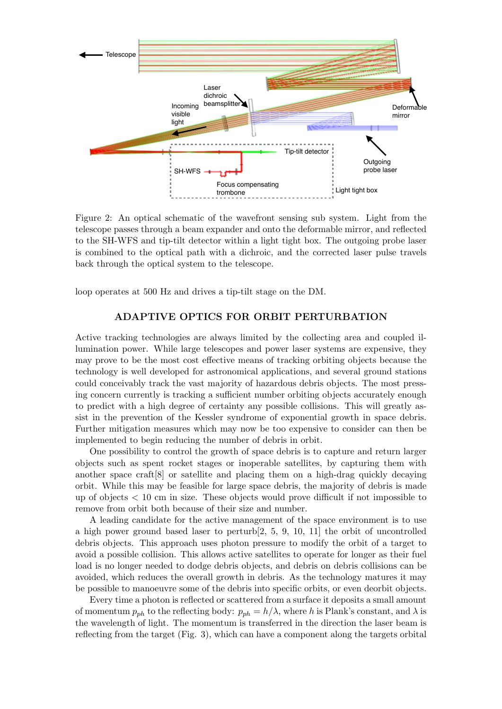

Figure 2: An optical schematic of the wavefront sensing sub system. Light from the telescope passes through a beam expander and onto the deformable mirror, and reflected to the SH-WFS and tip-tilt detector within a light tight box. The outgoing probe laser is combined to the optical path with a dichroic, and the corrected laser pulse travels back through the optical system to the telescope.

loop operates at 500 Hz and drives a tip-tilt stage on the DM.

# ADAPTIVE OPTICS FOR ORBIT PERTURBATION

Active tracking technologies are always limited by the collecting area and coupled illumination power. While large telescopes and power laser systems are expensive, they may prove to be the most cost effective means of tracking orbiting objects because the technology is well developed for astronomical applications, and several ground stations could conceivably track the vast majority of hazardous debris objects. The most pressing concern currently is tracking a sufficient number orbiting objects accurately enough to predict with a high degree of certainty any possible collisions. This will greatly assist in the prevention of the Kessler syndrome of exponential growth in space debris. Further mitigation measures which may now be too expensive to consider can then be implemented to begin reducing the number of debris in orbit.

One possibility to control the growth of space debris is to capture and return larger objects such as spent rocket stages or inoperable satellites, by capturing them with another space craft[8] or satellite and placing them on a high-drag quickly decaying orbit. While this may be feasible for large space debris, the majority of debris is made up of objects  $\lt 10$  cm in size. These objects would prove difficult if not impossible to remove from orbit both because of their size and number.

A leading candidate for the active management of the space environment is to use a high power ground based laser to perturb[2, 5, 9, 10, 11] the orbit of uncontrolled debris objects. This approach uses photon pressure to modify the orbit of a target to avoid a possible collision. This allows active satellites to operate for longer as their fuel load is no longer needed to dodge debris objects, and debris on debris collisions can be avoided, which reduces the overall growth in debris. As the technology matures it may be possible to manoeuvre some of the debris into specific orbits, or even deorbit objects.

Every time a photon is reflected or scattered from a surface it deposits a small amount of momentum  $p_{ph}$  to the reflecting body:  $p_{ph} = h/\lambda$ , where h is Plank's constant, and  $\lambda$  is the wavelength of light. The momentum is transferred in the direction the laser beam is reflecting from the target (Fig. 3), which can have a component along the targets orbital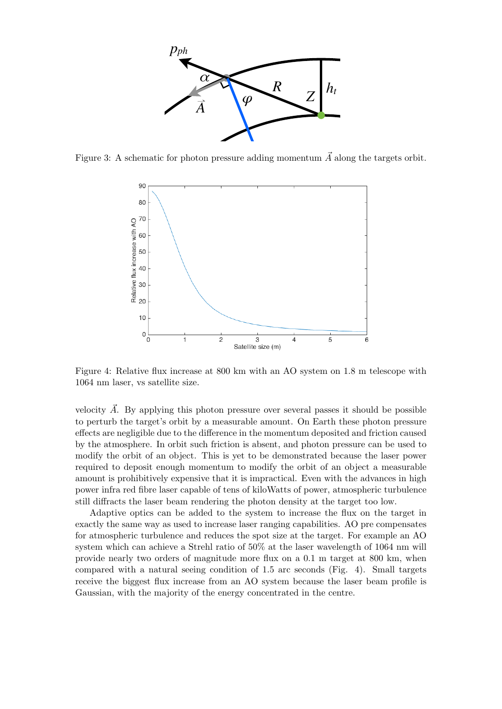

Figure 3: A schematic for photon pressure adding momentum  $\vec{A}$  along the targets orbit.



Figure 4: Relative flux increase at 800 km with an AO system on 1.8 m telescope with 1064 nm laser, vs satellite size.

velocity  $\vec{A}$ . By applying this photon pressure over several passes it should be possible to perturb the target's orbit by a measurable amount. On Earth these photon pressure effects are negligible due to the difference in the momentum deposited and friction caused by the atmosphere. In orbit such friction is absent, and photon pressure can be used to modify the orbit of an object. This is yet to be demonstrated because the laser power required to deposit enough momentum to modify the orbit of an object a measurable amount is prohibitively expensive that it is impractical. Even with the advances in high power infra red fibre laser capable of tens of kiloWatts of power, atmospheric turbulence still diffracts the laser beam rendering the photon density at the target too low.

Adaptive optics can be added to the system to increase the flux on the target in exactly the same way as used to increase laser ranging capabilities. AO pre compensates for atmospheric turbulence and reduces the spot size at the target. For example an AO system which can achieve a Strehl ratio of 50% at the laser wavelength of 1064 nm will provide nearly two orders of magnitude more flux on a 0.1 m target at 800 km, when compared with a natural seeing condition of 1.5 arc seconds (Fig. 4). Small targets receive the biggest flux increase from an AO system because the laser beam profile is Gaussian, with the majority of the energy concentrated in the centre.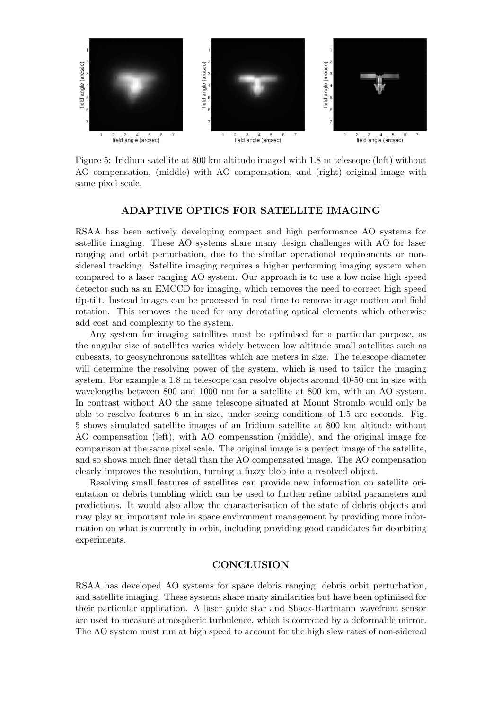

Figure 5: Iridium satellite at 800 km altitude imaged with 1.8 m telescope (left) without AO compensation, (middle) with AO compensation, and (right) original image with same pixel scale.

# ADAPTIVE OPTICS FOR SATELLITE IMAGING

RSAA has been actively developing compact and high performance AO systems for satellite imaging. These AO systems share many design challenges with AO for laser ranging and orbit perturbation, due to the similar operational requirements or nonsidereal tracking. Satellite imaging requires a higher performing imaging system when compared to a laser ranging AO system. Our approach is to use a low noise high speed detector such as an EMCCD for imaging, which removes the need to correct high speed tip-tilt. Instead images can be processed in real time to remove image motion and field rotation. This removes the need for any derotating optical elements which otherwise add cost and complexity to the system.

Any system for imaging satellites must be optimised for a particular purpose, as the angular size of satellites varies widely between low altitude small satellites such as cubesats, to geosynchronous satellites which are meters in size. The telescope diameter will determine the resolving power of the system, which is used to tailor the imaging system. For example a 1.8 m telescope can resolve objects around 40-50 cm in size with wavelengths between 800 and 1000 nm for a satellite at 800 km, with an AO system. In contrast without AO the same telescope situated at Mount Stromlo would only be able to resolve features 6 m in size, under seeing conditions of 1.5 arc seconds. Fig. 5 shows simulated satellite images of an Iridium satellite at 800 km altitude without AO compensation (left), with AO compensation (middle), and the original image for comparison at the same pixel scale. The original image is a perfect image of the satellite, and so shows much finer detail than the AO compensated image. The AO compensation clearly improves the resolution, turning a fuzzy blob into a resolved object.

Resolving small features of satellites can provide new information on satellite orientation or debris tumbling which can be used to further refine orbital parameters and predictions. It would also allow the characterisation of the state of debris objects and may play an important role in space environment management by providing more information on what is currently in orbit, including providing good candidates for deorbiting experiments.

#### **CONCLUSION**

RSAA has developed AO systems for space debris ranging, debris orbit perturbation, and satellite imaging. These systems share many similarities but have been optimised for their particular application. A laser guide star and Shack-Hartmann wavefront sensor are used to measure atmospheric turbulence, which is corrected by a deformable mirror. The AO system must run at high speed to account for the high slew rates of non-sidereal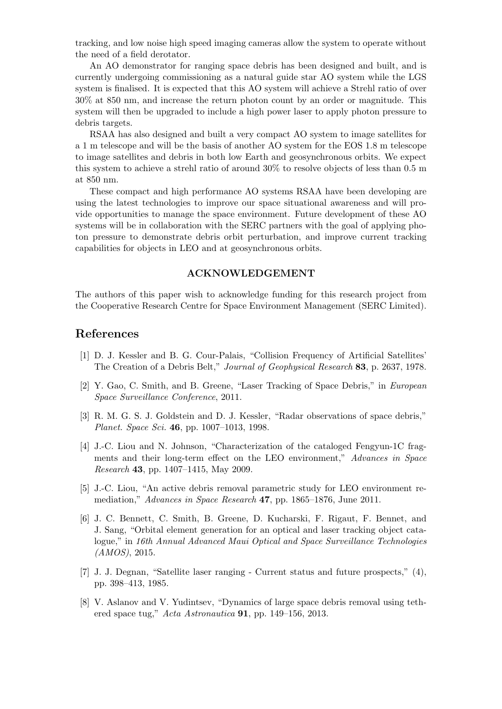tracking, and low noise high speed imaging cameras allow the system to operate without the need of a field derotator.

An AO demonstrator for ranging space debris has been designed and built, and is currently undergoing commissioning as a natural guide star AO system while the LGS system is finalised. It is expected that this AO system will achieve a Strehl ratio of over 30% at 850 nm, and increase the return photon count by an order or magnitude. This system will then be upgraded to include a high power laser to apply photon pressure to debris targets.

RSAA has also designed and built a very compact AO system to image satellites for a 1 m telescope and will be the basis of another AO system for the EOS 1.8 m telescope to image satellites and debris in both low Earth and geosynchronous orbits. We expect this system to achieve a strehl ratio of around 30% to resolve objects of less than 0.5 m at 850 nm.

These compact and high performance AO systems RSAA have been developing are using the latest technologies to improve our space situational awareness and will provide opportunities to manage the space environment. Future development of these AO systems will be in collaboration with the SERC partners with the goal of applying photon pressure to demonstrate debris orbit perturbation, and improve current tracking capabilities for objects in LEO and at geosynchronous orbits.

#### ACKNOWLEDGEMENT

The authors of this paper wish to acknowledge funding for this research project from the Cooperative Research Centre for Space Environment Management (SERC Limited).

## References

- [1] D. J. Kessler and B. G. Cour-Palais, "Collision Frequency of Artificial Satellites' The Creation of a Debris Belt," Journal of Geophysical Research 83, p. 2637, 1978.
- [2] Y. Gao, C. Smith, and B. Greene, "Laser Tracking of Space Debris," in European Space Surveillance Conference, 2011.
- [3] R. M. G. S. J. Goldstein and D. J. Kessler, "Radar observations of space debris," Planet. Space Sci. 46, pp. 1007–1013, 1998.
- [4] J.-C. Liou and N. Johnson, "Characterization of the cataloged Fengyun-1C fragments and their long-term effect on the LEO environment," Advances in Space Research 43, pp. 1407–1415, May 2009.
- [5] J.-C. Liou, "An active debris removal parametric study for LEO environment remediation," Advances in Space Research 47, pp. 1865–1876, June 2011.
- [6] J. C. Bennett, C. Smith, B. Greene, D. Kucharski, F. Rigaut, F. Bennet, and J. Sang, "Orbital element generation for an optical and laser tracking object catalogue," in 16th Annual Advanced Maui Optical and Space Surveillance Technologies (AMOS), 2015.
- [7] J. J. Degnan, "Satellite laser ranging Current status and future prospects," (4), pp. 398–413, 1985.
- [8] V. Aslanov and V. Yudintsev, "Dynamics of large space debris removal using tethered space tug," Acta Astronautica 91, pp. 149–156, 2013.